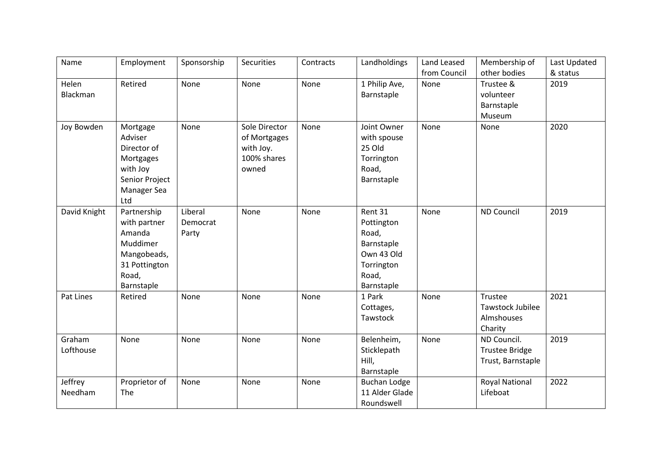| Name         | Employment     | Sponsorship | <b>Securities</b> | Contracts | Landholdings        | Land Leased  | Membership of         | Last Updated |
|--------------|----------------|-------------|-------------------|-----------|---------------------|--------------|-----------------------|--------------|
|              |                |             |                   |           |                     | from Council | other bodies          | & status     |
| Helen        | Retired        | None        | None              | None      | 1 Philip Ave,       | None         | Trustee &             | 2019         |
| Blackman     |                |             |                   |           | Barnstaple          |              | volunteer             |              |
|              |                |             |                   |           |                     |              | Barnstaple            |              |
|              |                |             |                   |           |                     |              | Museum                |              |
| Joy Bowden   | Mortgage       | None        | Sole Director     | None      | Joint Owner         | None         | None                  | 2020         |
|              | Adviser        |             | of Mortgages      |           | with spouse         |              |                       |              |
|              | Director of    |             | with Joy.         |           | 25 Old              |              |                       |              |
|              | Mortgages      |             | 100% shares       |           | Torrington          |              |                       |              |
|              | with Joy       |             | owned             |           | Road,               |              |                       |              |
|              | Senior Project |             |                   |           | Barnstaple          |              |                       |              |
|              | Manager Sea    |             |                   |           |                     |              |                       |              |
|              | Ltd            |             |                   |           |                     |              |                       |              |
| David Knight | Partnership    | Liberal     | None              | None      | Rent 31             | None         | <b>ND Council</b>     | 2019         |
|              | with partner   | Democrat    |                   |           | Pottington          |              |                       |              |
|              | Amanda         | Party       |                   |           | Road,               |              |                       |              |
|              | Muddimer       |             |                   |           | Barnstaple          |              |                       |              |
|              | Mangobeads,    |             |                   |           | Own 43 Old          |              |                       |              |
|              | 31 Pottington  |             |                   |           | Torrington          |              |                       |              |
|              | Road,          |             |                   |           | Road,               |              |                       |              |
|              | Barnstaple     |             |                   |           | Barnstaple          |              |                       |              |
| Pat Lines    | Retired        | None        | None              | None      | 1 Park              | None         | Trustee               | 2021         |
|              |                |             |                   |           | Cottages,           |              | Tawstock Jubilee      |              |
|              |                |             |                   |           | Tawstock            |              | Almshouses            |              |
|              |                |             |                   |           |                     |              | Charity               |              |
| Graham       | None           | None        | None              | None      | Belenheim,          | None         | ND Council.           | 2019         |
| Lofthouse    |                |             |                   |           | Sticklepath         |              | <b>Trustee Bridge</b> |              |
|              |                |             |                   |           | Hill,               |              | Trust, Barnstaple     |              |
|              |                |             |                   |           | Barnstaple          |              |                       |              |
| Jeffrey      | Proprietor of  | None        | None              | None      | <b>Buchan Lodge</b> |              | <b>Royal National</b> | 2022         |
| Needham      | The            |             |                   |           | 11 Alder Glade      |              | Lifeboat              |              |
|              |                |             |                   |           | Roundswell          |              |                       |              |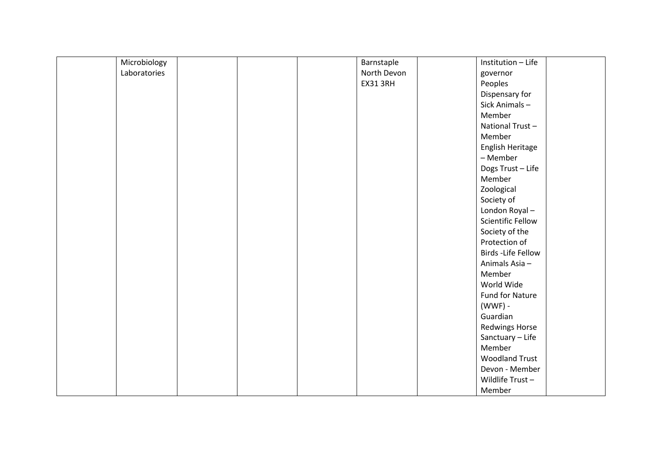| Microbiology | Barnstaple      | Institution - Life       |
|--------------|-----------------|--------------------------|
| Laboratories | North Devon     | governor                 |
|              | <b>EX31 3RH</b> | Peoples                  |
|              |                 | Dispensary for           |
|              |                 | Sick Animals-            |
|              |                 | Member                   |
|              |                 | National Trust-          |
|              |                 | Member                   |
|              |                 | English Heritage         |
|              |                 | - Member                 |
|              |                 | Dogs Trust - Life        |
|              |                 | Member                   |
|              |                 | Zoological               |
|              |                 | Society of               |
|              |                 | London Royal-            |
|              |                 | <b>Scientific Fellow</b> |
|              |                 | Society of the           |
|              |                 | Protection of            |
|              |                 | Birds - Life Fellow      |
|              |                 | Animals Asia-            |
|              |                 | Member                   |
|              |                 | World Wide               |
|              |                 | Fund for Nature          |
|              |                 | (WWF) -                  |
|              |                 | Guardian                 |
|              |                 | <b>Redwings Horse</b>    |
|              |                 | Sanctuary - Life         |
|              |                 | Member                   |
|              |                 | <b>Woodland Trust</b>    |
|              |                 | Devon - Member           |
|              |                 | Wildlife Trust-          |
|              |                 | Member                   |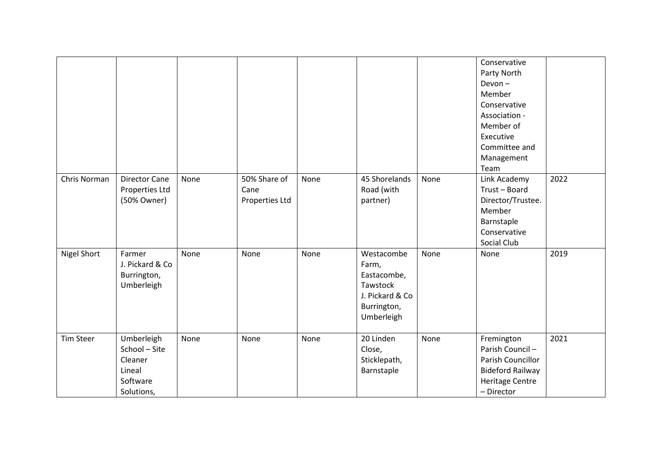|                  |                                                                            |      |                                        |      |                                                                                                |      | Conservative<br>Party North<br>$Devon -$<br>Member<br>Conservative<br>Association -<br>Member of<br>Executive<br>Committee and<br>Management<br>Team |      |
|------------------|----------------------------------------------------------------------------|------|----------------------------------------|------|------------------------------------------------------------------------------------------------|------|------------------------------------------------------------------------------------------------------------------------------------------------------|------|
| Chris Norman     | <b>Director Cane</b><br>Properties Ltd<br>(50% Owner)                      | None | 50% Share of<br>Cane<br>Properties Ltd | None | 45 Shorelands<br>Road (with<br>partner)                                                        | None | Link Academy<br>Trust-Board<br>Director/Trustee.<br>Member<br>Barnstaple<br>Conservative<br>Social Club                                              | 2022 |
| Nigel Short      | Farmer<br>J. Pickard & Co<br>Burrington,<br>Umberleigh                     | None | None                                   | None | Westacombe<br>Farm,<br>Eastacombe,<br>Tawstock<br>J. Pickard & Co<br>Burrington,<br>Umberleigh | None | None                                                                                                                                                 | 2019 |
| <b>Tim Steer</b> | Umberleigh<br>School - Site<br>Cleaner<br>Lineal<br>Software<br>Solutions, | None | None                                   | None | 20 Linden<br>Close,<br>Sticklepath,<br>Barnstaple                                              | None | Fremington<br>Parish Council-<br>Parish Councillor<br><b>Bideford Railway</b><br><b>Heritage Centre</b><br>- Director                                | 2021 |